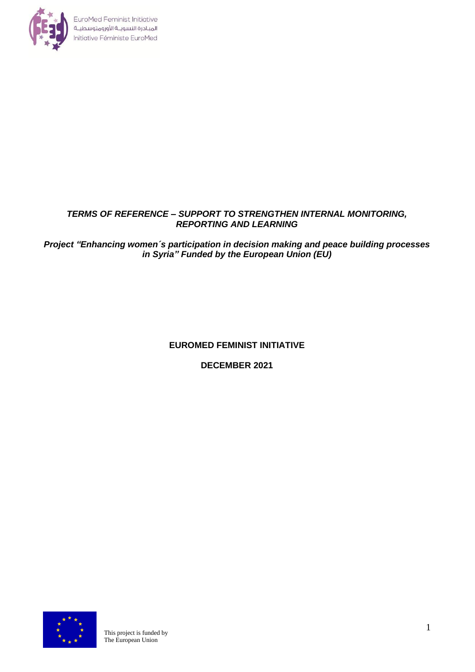

## *TERMS OF REFERENCE – SUPPORT TO STRENGTHEN INTERNAL MONITORING, REPORTING AND LEARNING*

*Project "Enhancing women´s participation in decision making and peace building processes in Syria" Funded by the European Union (EU)*

# **EUROMED FEMINIST INITIATIVE**

**DECEMBER 2021**

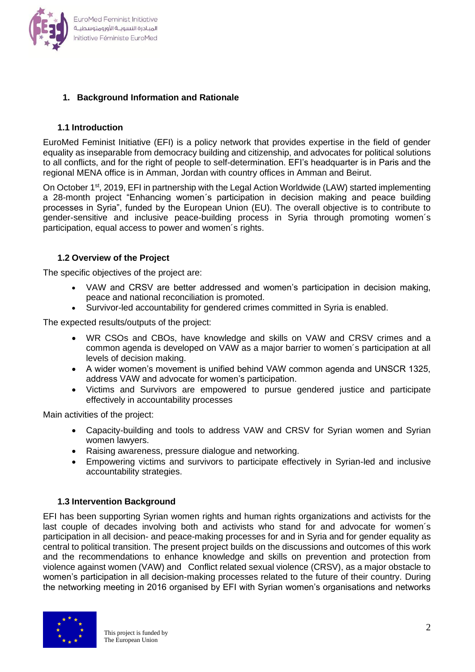

## **1. Background Information and Rationale**

## **1.1 Introduction**

EuroMed Feminist Initiative (EFI) is a policy network that provides expertise in the field of gender equality as inseparable from democracy building and citizenship, and advocates for political solutions to all conflicts, and for the right of people to self-determination. EFI's headquarter is in Paris and the regional MENA office is in Amman, Jordan with country offices in Amman and Beirut.

On October 1<sup>st</sup>, 2019, EFI in partnership with the Legal Action Worldwide (LAW) started implementing a 28-month project "Enhancing women´s participation in decision making and peace building processes in Syria", funded by the European Union (EU). The overall objective is to contribute to gender-sensitive and inclusive peace-building process in Syria through promoting women´s participation, equal access to power and women´s rights.

## **1.2 Overview of the Project**

The specific objectives of the project are:

- VAW and CRSV are better addressed and women's participation in decision making, peace and national reconciliation is promoted.
- Survivor-led accountability for gendered crimes committed in Syria is enabled.

The expected results/outputs of the project:

- WR CSOs and CBOs, have knowledge and skills on VAW and CRSV crimes and a common agenda is developed on VAW as a major barrier to women´s participation at all levels of decision making.
- A wider women's movement is unified behind VAW common agenda and UNSCR 1325, address VAW and advocate for women's participation.
- Victims and Survivors are empowered to pursue gendered justice and participate effectively in accountability processes

Main activities of the project:

- Capacity-building and tools to address VAW and CRSV for Syrian women and Syrian women lawyers.
- Raising awareness, pressure dialogue and networking.
- Empowering victims and survivors to participate effectively in Syrian-led and inclusive accountability strategies.

### **1.3 Intervention Background**

EFI has been supporting Syrian women rights and human rights organizations and activists for the last couple of decades involving both and activists who stand for and advocate for women´s participation in all decision- and peace-making processes for and in Syria and for gender equality as central to political transition. The present project builds on the discussions and outcomes of this work and the recommendations to enhance knowledge and skills on prevention and protection from violence against women (VAW) and Conflict related sexual violence (CRSV), as a major obstacle to women's participation in all decision-making processes related to the future of their country. During the networking meeting in 2016 organised by EFI with Syrian women's organisations and networks

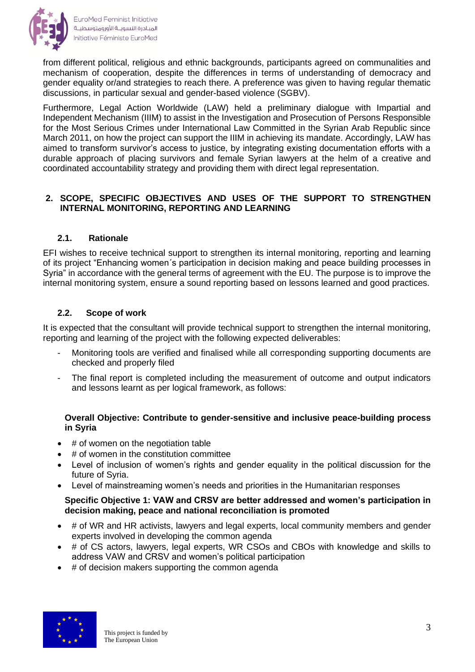

from different political, religious and ethnic backgrounds, participants agreed on communalities and mechanism of cooperation, despite the differences in terms of understanding of democracy and gender equality or/and strategies to reach there. A preference was given to having regular thematic discussions, in particular sexual and gender-based violence (SGBV).

Furthermore, Legal Action Worldwide (LAW) held a preliminary dialogue with Impartial and Independent Mechanism (IIIM) to assist in the Investigation and Prosecution of Persons Responsible for the Most Serious Crimes under International Law Committed in the Syrian Arab Republic since March 2011, on how the project can support the IIIM in achieving its mandate. Accordingly, LAW has aimed to transform survivor's access to justice, by integrating existing documentation efforts with a durable approach of placing survivors and female Syrian lawyers at the helm of a creative and coordinated accountability strategy and providing them with direct legal representation.

## **2. SCOPE, SPECIFIC OBJECTIVES AND USES OF THE SUPPORT TO STRENGTHEN INTERNAL MONITORING, REPORTING AND LEARNING**

## **2.1. Rationale**

EFI wishes to receive technical support to strengthen its internal monitoring, reporting and learning of its project "Enhancing women´s participation in decision making and peace building processes in Syria" in accordance with the general terms of agreement with the EU. The purpose is to improve the internal monitoring system, ensure a sound reporting based on lessons learned and good practices.

## **2.2. Scope of work**

It is expected that the consultant will provide technical support to strengthen the internal monitoring, reporting and learning of the project with the following expected deliverables:

- Monitoring tools are verified and finalised while all corresponding supporting documents are checked and properly filed
- The final report is completed including the measurement of outcome and output indicators and lessons learnt as per logical framework, as follows:

## **Overall Objective: Contribute to gender-sensitive and inclusive peace-building process in Syria**

- # of women on the negotiation table
- # of women in the constitution committee
- Level of inclusion of women's rights and gender equality in the political discussion for the future of Syria.
- Level of mainstreaming women's needs and priorities in the Humanitarian responses

### **Specific Objective 1: VAW and CRSV are better addressed and women's participation in decision making, peace and national reconciliation is promoted**

- # of WR and HR activists, lawyers and legal experts, local community members and gender experts involved in developing the common agenda
- # of CS actors, lawyers, legal experts, WR CSOs and CBOs with knowledge and skills to address VAW and CRSV and women's political participation
- # of decision makers supporting the common agenda

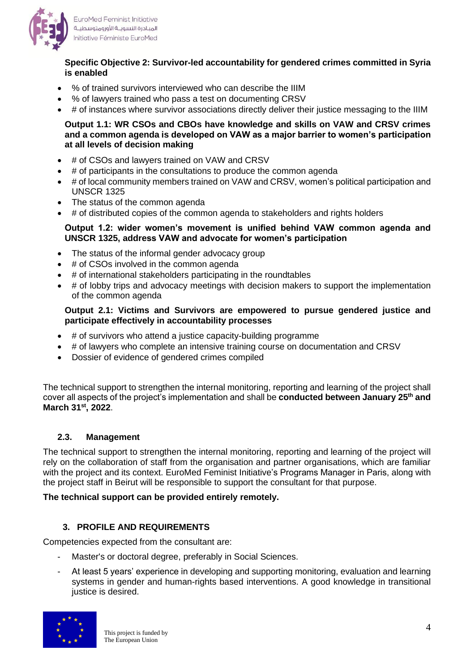

EuroMed Feminist Initiative المبادرة النسويــة الأورومتوسطيــة Initiative Féministe EuroMed

### **Specific Objective 2: Survivor-led accountability for gendered crimes committed in Syria is enabled**

- % of trained survivors interviewed who can describe the IIIM
- % of lawyers trained who pass a test on documenting CRSV
- # of instances where survivor associations directly deliver their justice messaging to the IIIM

### **Output 1.1: WR CSOs and CBOs have knowledge and skills on VAW and CRSV crimes and a common agenda is developed on VAW as a major barrier to women's participation at all levels of decision making**

- # of CSOs and lawyers trained on VAW and CRSV
- # of participants in the consultations to produce the common agenda
- # of local community members trained on VAW and CRSV, women's political participation and UNSCR 1325
- The status of the common agenda
- # of distributed copies of the common agenda to stakeholders and rights holders

#### **Output 1.2: wider women's movement is unified behind VAW common agenda and UNSCR 1325, address VAW and advocate for women's participation**

- The status of the informal gender advocacy group
- # of CSOs involved in the common agenda
- # of international stakeholders participating in the roundtables
- # of lobby trips and advocacy meetings with decision makers to support the implementation of the common agenda

#### **Output 2.1: Victims and Survivors are empowered to pursue gendered justice and participate effectively in accountability processes**

- # of survivors who attend a justice capacity-building programme
- # of lawyers who complete an intensive training course on documentation and CRSV
- Dossier of evidence of gendered crimes compiled

The technical support to strengthen the internal monitoring, reporting and learning of the project shall cover all aspects of the project's implementation and shall be **conducted between January 25 th and March 31st, 2022**.

### **2.3. Management**

The technical support to strengthen the internal monitoring, reporting and learning of the project will rely on the collaboration of staff from the organisation and partner organisations, which are familiar with the project and its context. EuroMed Feminist Initiative's Programs Manager in Paris, along with the project staff in Beirut will be responsible to support the consultant for that purpose.

### **The technical support can be provided entirely remotely.**

### **3. PROFILE AND REQUIREMENTS**

Competencies expected from the consultant are:

- Master's or doctoral degree, preferably in Social Sciences.
- At least 5 years' experience in developing and supporting monitoring, evaluation and learning systems in gender and human-rights based interventions. A good knowledge in transitional justice is desired.